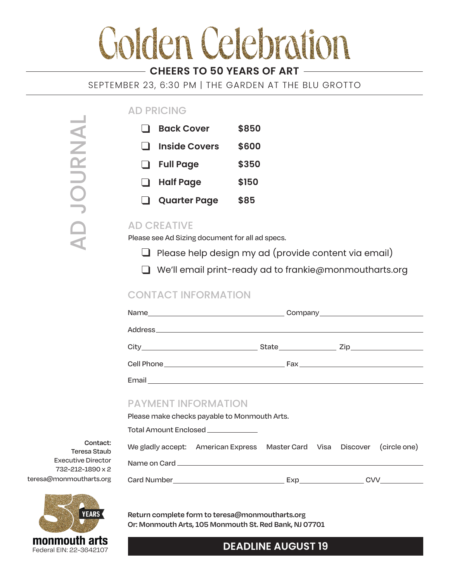# **Colden Celebration**

# **CHEERS TO 50 YEARS OF ART**

SEPTEMBER 23, 6:30 PM | THE GARDEN AT THE BLU GROTTO

## AD PRICING

|                | <b>Back Cover</b>    | \$850 |
|----------------|----------------------|-------|
| $\blacksquare$ | <b>Inside Covers</b> | \$600 |
| ⊔              | <b>Full Page</b>     | \$350 |
| $\perp$        | <b>Half Page</b>     | \$150 |
|                | <b>Quarter Page</b>  | \$85  |

# AD CREATIVE

Please see Ad Sizing document for all ad specs.

- $\Box$  Please help design my ad (provide content via email)
- We'll email print-ready ad to frankie@monmoutharts.org

### CONTACT INFORMATION

| <b>PAYMENT INFORMATION</b><br>Please make checks payable to Monmouth Arts. |  |  |  |  |  |  |
|----------------------------------------------------------------------------|--|--|--|--|--|--|
| Total Amount Enclosed ____________                                         |  |  |  |  |  |  |
| We gladly accept: American Express Master Card Visa Discover (circle one)  |  |  |  |  |  |  |
|                                                                            |  |  |  |  |  |  |
|                                                                            |  |  |  |  |  |  |



teresa@monmoutharts.org

**Contact:** Teresa Staub Executive Director 732-212-1890 x 2

AD JOURNAL

AD JOURNAL

**Return complete form to teresa@monmoutharts.org Or: Monmouth Arts, 105 Monmouth St. Red Bank, NJ 07701**

# **DEADLINE AUGUST 19**